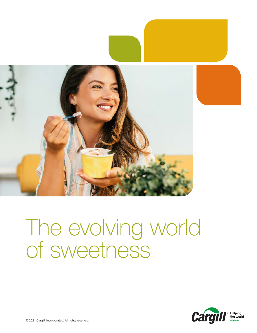

# The evolving world of sweetness

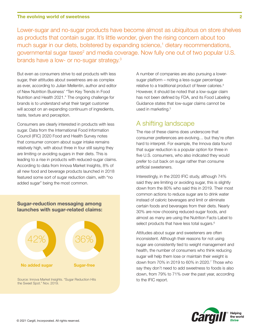Lower-sugar and no-sugar products have become almost as ubiquitous on store shelves as products that contain sugar. It's little wonder, given the rising concern about too much sugar in our diets, bolstered by expanding science,<sup>1</sup> dietary recommendations, governmental sugar taxes<sup>2</sup> and media coverage. Now fully one out of two popular U.S. brands have a low- or no-sugar strategy.<sup>3</sup>

But even as consumers strive to eat products with less sugar, their attitudes about sweetness are as complex as ever, according to Julian Mellentin, author and editor of New Nutrition Business' "Ten Key Trends in Food Nutrition and Health 2021." The ongoing challenge for brands is to understand what their target customer will accept on an expanding continuum of ingredients, taste, texture and perception.

Consumers are clearly interested in products with less sugar. Data from the International Food Information Council (IFIC) 2020 Food and Health Survey notes that consumer concern about sugar intake remains relatively high, with about three in four still saying they are limiting or avoiding sugars in their diets. This is leading to a rise in products with reduced-sugar claims. According to data from Innova Market Insights, 8% of all new food and beverage products launched in 2018 featured some sort of sugar reduction claim, with "no added sugar" being the most common.

### **Sugar-reduction messaging among launches with sugar-related claims:**



Source: Innova Market Insights. "Sugar Reduction Hits the Sweet Spot." Nov. 2019.

A number of companies are also pursuing a lowersugar platform – noting a less-sugar percentage relative to a traditional product of fewer calories.<sup>4</sup> However, it should be noted that a low-sugar claim has not been defined by FDA, and its Food Labeling Guidance states that low-sugar claims cannot be used in marketing.<sup>5</sup>

## A shifting landscape

The rise of these claims does underscore that consumer preferences are evolving… but they're often hard to interpret. For example, the Innova data found that sugar reduction is a popular option for three in five U.S. consumers, who also indicated they would prefer to cut back on sugar rather than consume artificial sweeteners.

Interestingly, in the 2020 IFIC study, although 74% said they are limiting or avoiding sugar, this is slightly down from the 80% who said this in 2019. Their most common actions to reduce sugar are to drink water instead of caloric beverages and limit or eliminate certain foods and beverages from their diets. Nearly 30% are now choosing reduced-sugar foods, and almost as many are using the Nutrition Facts Label to select products that have less total sugars.<sup>6</sup>

Attitudes about sugar and sweeteners are often inconsistent. Although their reasons for not using sugar are consistently tied to weight management and health, the number of consumers who think reducing sugar will help them lose or maintain their weight is down from 70% in 2019 to 60% in 2020.7 Those who say they don't need to add sweetness to foods is also down, from 79% to 71% over the past year, according to the IFIC report.

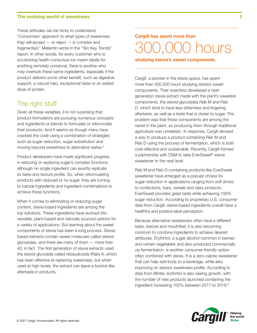#### **The evolving world of sweetness 3**

These attitudes can be tricky to understand. "Consumers' approach to what types of sweetness they will accept  $-$  or reject  $-$  is complex and fragmented," Mellentin wrote in the "Ten Key Trends" report. In other words, for every customer who is scrutinizing health-conscious ice cream labels for anything remotely unnatural, there is another who may overlook these same ingredients, especially if the product delivers some other benefit, such as digestive support, a natural halo, exceptional taste or an added dose of protein.

## The right stuff

Given all these variables, it is not surprising that product formulators are pursuing numerous concepts and ingredients or blends to formulate or reformulate their products. And it seems as though many have cracked the code using a combination of strategies such as sugar reduction, sugar substitution and moving beyond sweetness to alternative tastes.<sup>8</sup>

Product developers have made significant progress in reducing or replacing sugar's complex functions, although no single ingredient can exactly replicate its taste and texture profile. So, when reformulating products with reduced or no sugar, they are turning to natural ingredients and ingredient combinations to achieve these functions.

When it comes to eliminating or reducing sugar content, stevia-based ingredients are among the top solutions. These ingredients have evolved into versatile, plant-based and naturally sourced options for a variety of applications. But learning about the sweet components of stevia has been a long process. Steviabased extracts contain sweet molecules called steviol glycosides, and there are many of them — more than 40, in fact. The first generation of stevia extracts used the steviol glycoside called rebaudioside (Reb) A, which has been effective at replacing sweetness, but when used at high levels, the extract can leave a licorice-like aftertaste in products.

## **Fast breakfast facts Cargill has spent more than**  300,000 hours

**studying stevia's sweet components.** 

Cargill, a pioneer in the stevia space, has spent more than 300,000 hours studying stevia's sweet components. Their scientists developed a nextgeneration stevia extract made with the plant's sweetest components, the steviol glycosides Reb M and Reb D, which tend to have less bitterness and lingering aftertaste, as well as a taste that is closer to sugar. The problem was that these components are among the rarest in the plant, so producing them through traditional agriculture was unrealistic. In response, Cargill devised a way to produce a product containing Reb M and Reb D using the process of fermentation, which is both cost-effective and sustainable. Recently, Cargill formed a partnership with DSM to take EverSweet® stevia sweetener to the next level.

Reb M and Reb D-containing products like EverSweet sweetener have emerged as a popular choice for sugar reduction in applications ranging from soft drinks to confections, bars, cereals and dairy products. EverSweet provides great taste while achieving 100% sugar reduction. According to proprietary U.S. consumer data from Cargill, stevia-based ingredients overall have a healthful and positive label perception.

Because alternative sweeteners often have a different taste, texture and mouthfeel, it is also becoming common to combine ingredients to achieve desired attributes. Erythritol, a sugar alcohol common in berries and certain vegetables and also produced commercially via fermentation, is another consumer-friendly option often combined with stevia. It is a zero-calorie sweetener that can help add body to a beverage, while also improving on stevia's sweetness profile. According to data from Mintel, erythritol is also seeing growth, with the number of new products launched containing the ingredient increasing 100% between 2017 to 2019.<sup>9</sup>